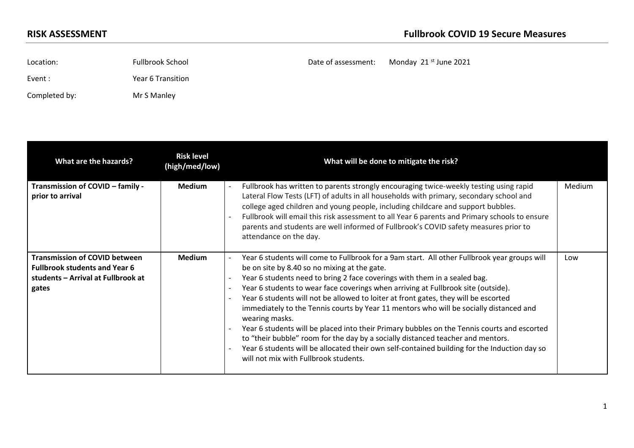Location: Fullbrook School **Example 2021** Date of assessment: Monday 21<sup>st</sup> June 2021 Event : The Year 6 Transition Completed by: Mr S Manley

| What are the hazards?                                                                                                       | <b>Risk level</b><br>(high/med/low) | What will be done to mitigate the risk?                                                                                                                                                                                                                                                                                                                                                                                                                                                                                                                                                                                                                                                                                                                                                                                                      |        |
|-----------------------------------------------------------------------------------------------------------------------------|-------------------------------------|----------------------------------------------------------------------------------------------------------------------------------------------------------------------------------------------------------------------------------------------------------------------------------------------------------------------------------------------------------------------------------------------------------------------------------------------------------------------------------------------------------------------------------------------------------------------------------------------------------------------------------------------------------------------------------------------------------------------------------------------------------------------------------------------------------------------------------------------|--------|
| Transmission of COVID - family -<br>prior to arrival                                                                        | <b>Medium</b>                       | Fullbrook has written to parents strongly encouraging twice-weekly testing using rapid<br>Lateral Flow Tests (LFT) of adults in all households with primary, secondary school and<br>college aged children and young people, including childcare and support bubbles.<br>Fullbrook will email this risk assessment to all Year 6 parents and Primary schools to ensure<br>parents and students are well informed of Fullbrook's COVID safety measures prior to<br>attendance on the day.                                                                                                                                                                                                                                                                                                                                                     | Medium |
| <b>Transmission of COVID between</b><br><b>Fullbrook students and Year 6</b><br>students - Arrival at Fullbrook at<br>gates | <b>Medium</b>                       | Year 6 students will come to Fullbrook for a 9am start. All other Fullbrook year groups will<br>be on site by 8.40 so no mixing at the gate.<br>Year 6 students need to bring 2 face coverings with them in a sealed bag.<br>Year 6 students to wear face coverings when arriving at Fullbrook site (outside).<br>Year 6 students will not be allowed to loiter at front gates, they will be escorted<br>immediately to the Tennis courts by Year 11 mentors who will be socially distanced and<br>wearing masks.<br>Year 6 students will be placed into their Primary bubbles on the Tennis courts and escorted<br>to "their bubble" room for the day by a socially distanced teacher and mentors.<br>Year 6 students will be allocated their own self-contained building for the Induction day so<br>will not mix with Fullbrook students. | Low    |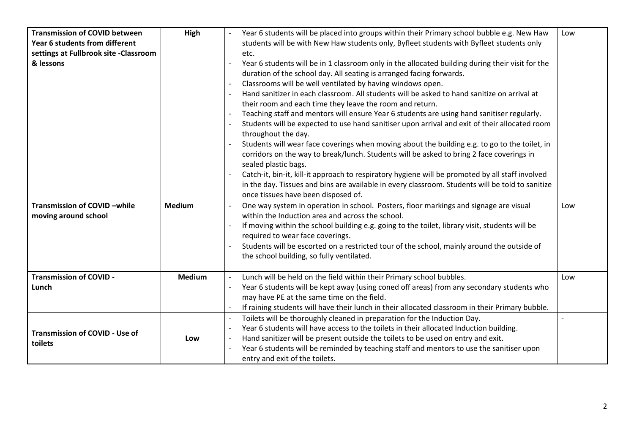| <b>Transmission of COVID between</b>   | High          | Year 6 students will be placed into groups within their Primary school bubble e.g. New Haw       | Low |
|----------------------------------------|---------------|--------------------------------------------------------------------------------------------------|-----|
| Year 6 students from different         |               | students will be with New Haw students only, Byfleet students with Byfleet students only         |     |
| settings at Fullbrook site - Classroom |               | etc.                                                                                             |     |
| & lessons                              |               | Year 6 students will be in 1 classroom only in the allocated building during their visit for the |     |
|                                        |               | duration of the school day. All seating is arranged facing forwards.                             |     |
|                                        |               | Classrooms will be well ventilated by having windows open.                                       |     |
|                                        |               | Hand sanitizer in each classroom. All students will be asked to hand sanitize on arrival at      |     |
|                                        |               | their room and each time they leave the room and return.                                         |     |
|                                        |               | Teaching staff and mentors will ensure Year 6 students are using hand sanitiser regularly.       |     |
|                                        |               | Students will be expected to use hand sanitiser upon arrival and exit of their allocated room    |     |
|                                        |               | throughout the day.                                                                              |     |
|                                        |               | Students will wear face coverings when moving about the building e.g. to go to the toilet, in    |     |
|                                        |               | corridors on the way to break/lunch. Students will be asked to bring 2 face coverings in         |     |
|                                        |               | sealed plastic bags.                                                                             |     |
|                                        |               | Catch-it, bin-it, kill-it approach to respiratory hygiene will be promoted by all staff involved |     |
|                                        |               | in the day. Tissues and bins are available in every classroom. Students will be told to sanitize |     |
|                                        |               | once tissues have been disposed of.                                                              |     |
| Transmission of COVID-while            | <b>Medium</b> | One way system in operation in school. Posters, floor markings and signage are visual            | Low |
| moving around school                   |               | within the Induction area and across the school.                                                 |     |
|                                        |               | If moving within the school building e.g. going to the toilet, library visit, students will be   |     |
|                                        |               | required to wear face coverings.                                                                 |     |
|                                        |               | Students will be escorted on a restricted tour of the school, mainly around the outside of       |     |
|                                        |               | the school building, so fully ventilated.                                                        |     |
|                                        |               |                                                                                                  |     |
| <b>Transmission of COVID -</b>         | <b>Medium</b> | Lunch will be held on the field within their Primary school bubbles.                             | Low |
| Lunch                                  |               | Year 6 students will be kept away (using coned off areas) from any secondary students who        |     |
|                                        |               | may have PE at the same time on the field.                                                       |     |
|                                        |               | If raining students will have their lunch in their allocated classroom in their Primary bubble.  |     |
|                                        |               | Toilets will be thoroughly cleaned in preparation for the Induction Day.                         |     |
| <b>Transmission of COVID - Use of</b>  |               | Year 6 students will have access to the toilets in their allocated Induction building.           |     |
| toilets                                | Low           | Hand sanitizer will be present outside the toilets to be used on entry and exit.                 |     |
|                                        |               | Year 6 students will be reminded by teaching staff and mentors to use the sanitiser upon         |     |
|                                        |               | entry and exit of the toilets.                                                                   |     |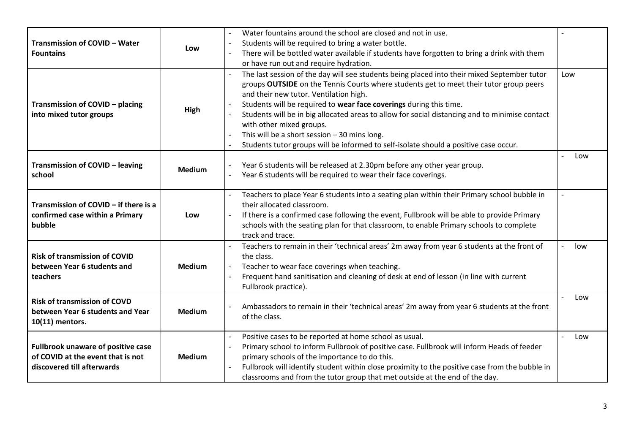| <b>Transmission of COVID - Water</b><br><b>Fountains</b>                                                     | Low           | Water fountains around the school are closed and not in use.<br>Students will be required to bring a water bottle.<br>There will be bottled water available if students have forgotten to bring a drink with them<br>or have run out and require hydration.                                                                                                                                                                                                                                                                                                                  |     |
|--------------------------------------------------------------------------------------------------------------|---------------|------------------------------------------------------------------------------------------------------------------------------------------------------------------------------------------------------------------------------------------------------------------------------------------------------------------------------------------------------------------------------------------------------------------------------------------------------------------------------------------------------------------------------------------------------------------------------|-----|
| Transmission of COVID - placing<br>into mixed tutor groups                                                   | High          | The last session of the day will see students being placed into their mixed September tutor<br>groups OUTSIDE on the Tennis Courts where students get to meet their tutor group peers<br>and their new tutor. Ventilation high.<br>Students will be required to wear face coverings during this time.<br>Students will be in big allocated areas to allow for social distancing and to minimise contact<br>with other mixed groups.<br>This will be a short session $-30$ mins long.<br>Students tutor groups will be informed to self-isolate should a positive case occur. | Low |
| Transmission of COVID - leaving<br>school                                                                    | <b>Medium</b> | Year 6 students will be released at 2.30pm before any other year group.<br>Year 6 students will be required to wear their face coverings.                                                                                                                                                                                                                                                                                                                                                                                                                                    | Low |
| Transmission of COVID - if there is a<br>confirmed case within a Primary<br>bubble                           | Low           | Teachers to place Year 6 students into a seating plan within their Primary school bubble in<br>their allocated classroom.<br>If there is a confirmed case following the event, Fullbrook will be able to provide Primary<br>$\blacksquare$<br>schools with the seating plan for that classroom, to enable Primary schools to complete<br>track and trace.                                                                                                                                                                                                                    |     |
| <b>Risk of transmission of COVID</b><br>between Year 6 students and<br>teachers                              | <b>Medium</b> | Teachers to remain in their 'technical areas' 2m away from year 6 students at the front of<br>the class.<br>Teacher to wear face coverings when teaching.<br>Frequent hand sanitisation and cleaning of desk at end of lesson (in line with current<br>$\blacksquare$<br>Fullbrook practice).                                                                                                                                                                                                                                                                                | low |
| <b>Risk of transmission of COVD</b><br>between Year 6 students and Year<br>10(11) mentors.                   | <b>Medium</b> | Ambassadors to remain in their 'technical areas' 2m away from year 6 students at the front<br>of the class.                                                                                                                                                                                                                                                                                                                                                                                                                                                                  | Low |
| <b>Fullbrook unaware of positive case</b><br>of COVID at the event that is not<br>discovered till afterwards | <b>Medium</b> | Positive cases to be reported at home school as usual.<br>$\blacksquare$<br>Primary school to inform Fullbrook of positive case. Fullbrook will inform Heads of feeder<br>$\blacksquare$<br>primary schools of the importance to do this.<br>Fullbrook will identify student within close proximity to the positive case from the bubble in<br>classrooms and from the tutor group that met outside at the end of the day.                                                                                                                                                   | Low |